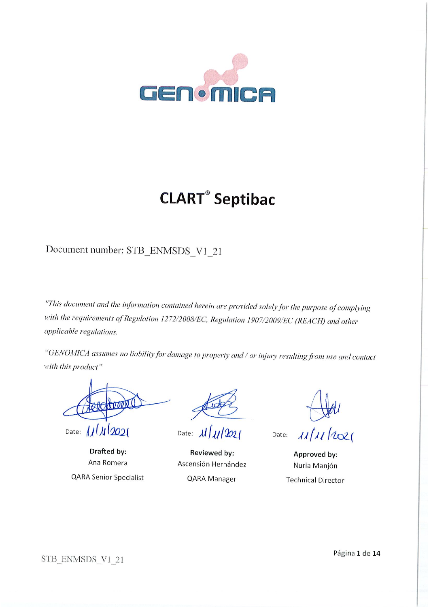

# **CLART<sup>®</sup>** Septibac

Document number: STB\_ENMSDS\_V1\_21

"This document and the information contained herein are provided solely for the purpose of complying with the requirements of Regulation 1272/2008/EC, Regulation 1907/2009/EC (REACH) and other applicable regulations.

"GENOMICA assumes no liability for damage to property and / or injury resulting from use and contact with this product"

Date:  $111202$ 

Drafted by: Ana Romera **QARA Senior Specialist** 

Date:  $\frac{\mu}{\mu}$ 

Reviewed by: Ascensión Hernández QARA Manager

 $\mu/\mu/\omega$ 

Date:

Approved by: Nuria Manjón **Technical Director** 

STB\_ENMSDS\_V1\_21

Página 1 de 14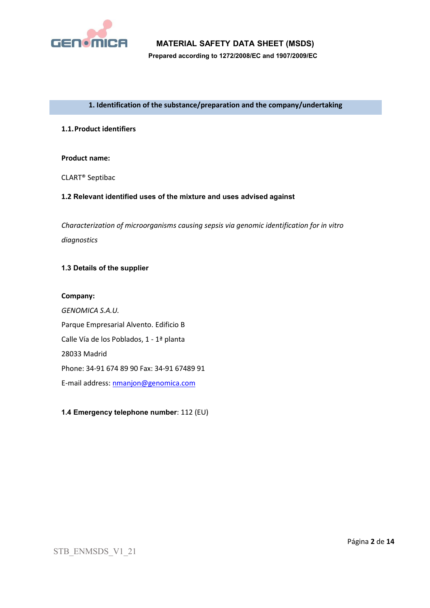

**Prepared according to 1272/2008/EC and 1907/2009/EC**

#### **1. Identification of the substance/preparation and the company/undertaking**

#### **1.1.Product identifiers**

#### **Product name:**

CLART® Septibac

#### **1.2 Relevant identified uses of the mixture and uses advised against**

*Characterization of microorganisms causing sepsis via genomic identification for in vitro diagnostics*

### **1.3 Details of the supplier**

#### **Company:**

*GENOMICA S.A.U.* Parque Empresarial Alvento. Edificio B Calle Vía de los Poblados, 1 - 1ª planta 28033 Madrid Phone: 34-91 674 89 90 Fax: 34-91 67489 91 E-mail address: [nmanjon@genomica.com](mailto:nmanjon@genomica.com)

## **1.4 Emergency telephone number**: 112 (EU)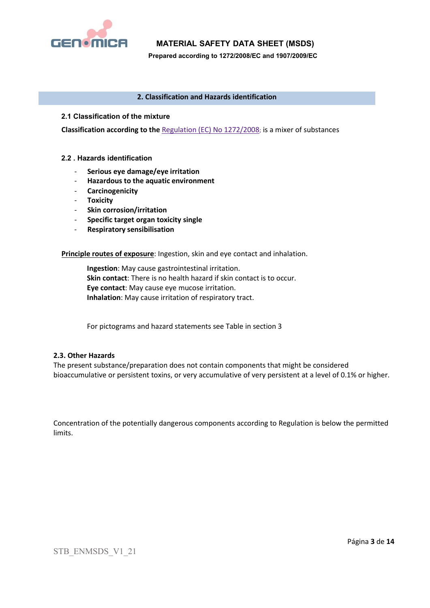

**Prepared according to 1272/2008/EC and 1907/2009/EC**

#### **2. Classification and Hazards identification**

#### **2.1 Classification of the mixture**

**Classification according to the** Regulation (EC) No 1272/2008; is a mixer of substances

#### **2.2 . Hazards identification**

- **Serious eye damage/eye irritation**
- **Hazardous to the aquatic environment**
- **Carcinogenicity**
- **Toxicity**
- **Skin corrosion/irritation**
- **Specific target organ toxicity single**
- **Respiratory sensibilisation**

**Principle routes of exposure**: Ingestion, skin and eye contact and inhalation.

**Ingestion**: May cause gastrointestinal irritation. **Skin contact**: There is no health hazard if skin contact is to occur. **Eye contact**: May cause eye mucose irritation. **Inhalation**: May cause irritation of respiratory tract.

For pictograms and hazard statements see Table in section 3

#### **2.3. Other Hazards**

The present substance/preparation does not contain components that might be considered bioaccumulative or persistent toxins, or very accumulative of very persistent at a level of 0.1% or higher.

Concentration of the potentially dangerous components according to Regulation is below the permitted limits.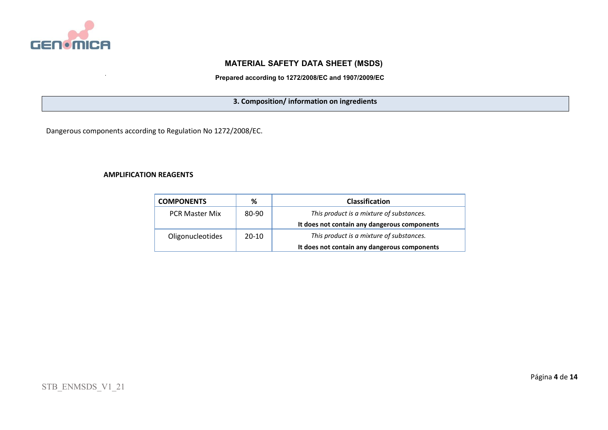

**Prepared according to 1272/2008/EC and 1907/2009/EC**

**3. Composition/ information on ingredients**

Dangerous components according to Regulation No 1272/2008/EC.

#### **AMPLIFICATION REAGENTS**

| <b>COMPONENTS</b>     | ℅         | <b>Classification</b>                        |
|-----------------------|-----------|----------------------------------------------|
| <b>PCR Master Mix</b> | 80-90     | This product is a mixture of substances.     |
|                       |           | It does not contain any dangerous components |
| Oligonucleotides      | $20 - 10$ | This product is a mixture of substances.     |
|                       |           | It does not contain any dangerous components |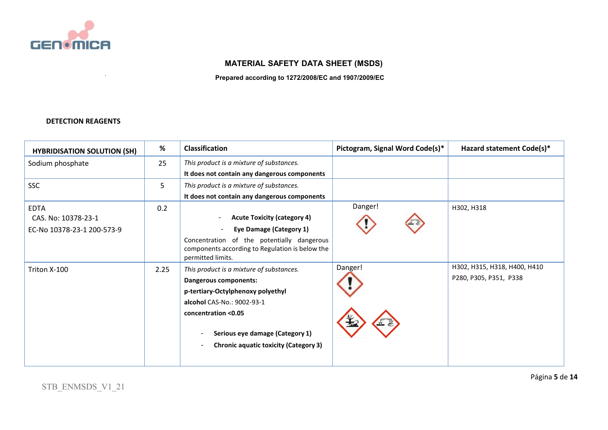

**Prepared according to 1272/2008/EC and 1907/2009/EC**

## **DETECTION REAGENTS**

| <b>HYBRIDISATION SOLUTION (SH)</b> | %    | <b>Classification</b>                                                                         | Pictogram, Signal Word Code(s)* | Hazard statement Code(s)*    |
|------------------------------------|------|-----------------------------------------------------------------------------------------------|---------------------------------|------------------------------|
| Sodium phosphate                   | 25   | This product is a mixture of substances.                                                      |                                 |                              |
|                                    |      | It does not contain any dangerous components                                                  |                                 |                              |
| <b>SSC</b>                         | 5    | This product is a mixture of substances.                                                      |                                 |                              |
|                                    |      | It does not contain any dangerous components                                                  |                                 |                              |
| <b>EDTA</b>                        | 0.2  |                                                                                               | Danger!                         | H302, H318                   |
| CAS. No: 10378-23-1                |      | <b>Acute Toxicity (category 4)</b>                                                            |                                 |                              |
| EC-No 10378-23-1 200-573-9         |      | <b>Eye Damage (Category 1)</b>                                                                |                                 |                              |
|                                    |      | Concentration of the potentially dangerous<br>components according to Regulation is below the |                                 |                              |
|                                    |      | permitted limits.                                                                             |                                 |                              |
| Triton X-100                       | 2.25 | This product is a mixture of substances.                                                      | Danger!                         | H302, H315, H318, H400, H410 |
|                                    |      | Dangerous components:                                                                         |                                 | P280, P305, P351, P338       |
|                                    |      | p-tertiary-Octylphenoxy polyethyl                                                             |                                 |                              |
|                                    |      | alcohol CAS-No.: 9002-93-1                                                                    |                                 |                              |
|                                    |      | concentration <0.05                                                                           |                                 |                              |
|                                    |      |                                                                                               |                                 |                              |
|                                    |      | Serious eye damage (Category 1)                                                               |                                 |                              |
|                                    |      | <b>Chronic aquatic toxicity (Category 3)</b>                                                  |                                 |                              |
|                                    |      |                                                                                               |                                 |                              |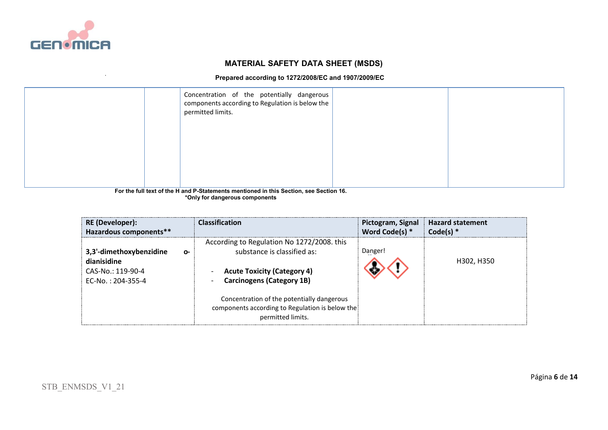

#### **Prepared according to 1272/2008/EC and 1907/2009/EC**

| Concentration of the potentially dangerous<br>components according to Regulation is below the<br>permitted limits. |        |  |
|--------------------------------------------------------------------------------------------------------------------|--------|--|
|                                                                                                                    | $   -$ |  |

**For the full text of the H and P-Statements mentioned in this Section, see Section 16. \*Only for dangerous components**

| <b>RE</b> (Developer):                                                                      | <b>Classification</b>                                                                                                                                                                                                                                                     | Pictogram, Signal | <b>Hazard statement</b> |
|---------------------------------------------------------------------------------------------|---------------------------------------------------------------------------------------------------------------------------------------------------------------------------------------------------------------------------------------------------------------------------|-------------------|-------------------------|
| Hazardous components**                                                                      |                                                                                                                                                                                                                                                                           | Word Code(s) *    | Code(s) $*$             |
| 3,3'-dimethoxybenzidine<br>0-<br>dianisidine<br>$CAS-No.: 119-90-4$<br>$FC-NO. : 204-355-4$ | According to Regulation No 1272/2008. this<br>substance is classified as:<br><b>Acute Toxicity (Category 4)</b><br><b>Carcinogens (Category 1B)</b><br>Concentration of the potentially dangerous<br>components according to Regulation is below the<br>permitted limits. | Danger!           | H302, H350              |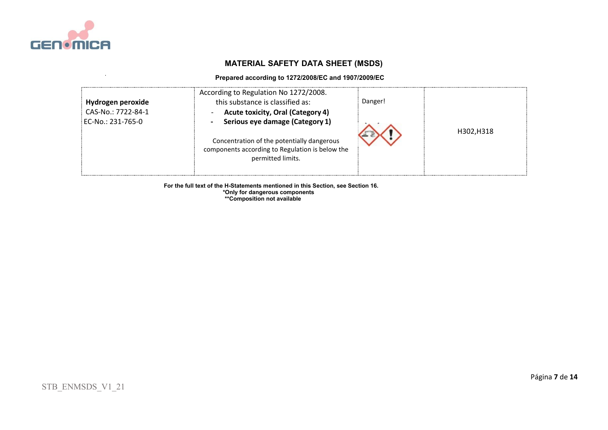

#### **Prepared according to 1272/2008/EC and 1907/2009/EC**

| Hydrogen peroxide<br>CAS-No.: 7722-84-1<br>EC-No.: 231-765-0 | According to Regulation No 1272/2008.<br>this substance is classified as:<br><b>Acute toxicity, Oral (Category 4)</b><br>Serious eye damage (Category 1) | Danger! |            |
|--------------------------------------------------------------|----------------------------------------------------------------------------------------------------------------------------------------------------------|---------|------------|
|                                                              | Concentration of the potentially dangerous<br>components according to Regulation is below the<br>permitted limits.                                       |         | H302, H318 |

 **For the full text of the H-Statements mentioned in this Section, see Section 16.**

 **\*Only for dangerous components \*\*Composition not available**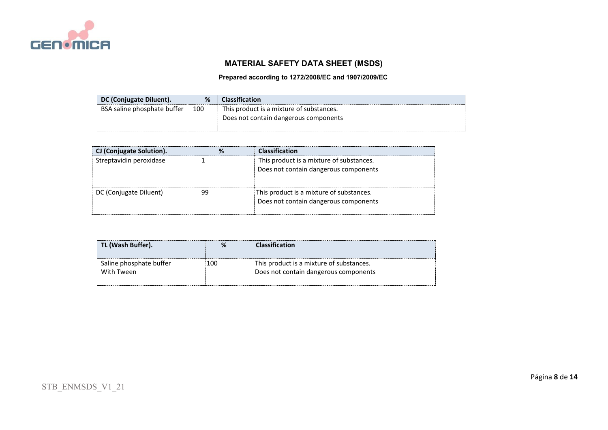

## **Prepared according to 1272/2008/EC and 1907/2009/EC**

| DC (Conjugate Diluent).     | %   | <b>Classification</b>                    |
|-----------------------------|-----|------------------------------------------|
| BSA saline phosphate buffer | 100 | This product is a mixture of substances. |
|                             |     | Does not contain dangerous components    |
|                             |     |                                          |

| CJ (Conjugate Solution). | <b>Classification</b>                                                             |
|--------------------------|-----------------------------------------------------------------------------------|
| Streptavidin peroxidase  | This product is a mixture of substances.<br>Does not contain dangerous components |
| DC (Conjugate Diluent)   | This product is a mixture of substances.<br>Does not contain dangerous components |

|                                              | Classification                                                                    |
|----------------------------------------------|-----------------------------------------------------------------------------------|
| Saline phosphate buffer<br>100<br>With Tween | This product is a mixture of substances.<br>Does not contain dangerous components |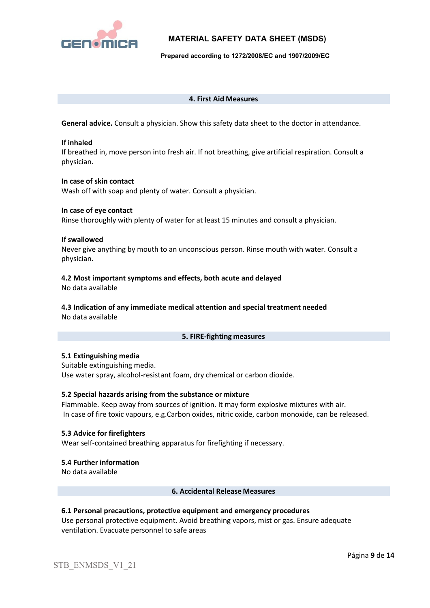

**Prepared according to 1272/2008/EC and 1907/2009/EC**

#### **4. First Aid Measures**

**General advice.** Consult a physician. Show this safety data sheet to the doctor in attendance.

#### **If inhaled**

If breathed in, move person into fresh air. If not breathing, give artificial respiration. Consult a physician.

#### **In case of skin contact**

Wash off with soap and plenty of water. Consult a physician.

#### **In case of eye contact**

Rinse thoroughly with plenty of water for at least 15 minutes and consult a physician.

#### **If swallowed**

Never give anything by mouth to an unconscious person. Rinse mouth with water. Consult a physician.

## **4.2 Most important symptoms and effects, both acute and delayed**

No data available

#### **4.3 Indication of any immediate medical attention and special treatment needed** No data available

## **5. FIRE-fighting measures**

## **5.1 Extinguishing media**

Suitable extinguishing media. Use water spray, alcohol-resistant foam, dry chemical or carbon dioxide.

## **5.2 Special hazards arising from the substance or mixture**

Flammable. Keep away from sources of ignition. It may form explosive mixtures with air. In case of fire toxic vapours, e.g.Carbon oxides, nitric oxide, carbon monoxide, can be released.

## **5.3 Advice for firefighters**

Wear self-contained breathing apparatus for firefighting if necessary.

#### **5.4 Further information**

No data available

#### **6. Accidental Release Measures**

## **6.1 Personal precautions, protective equipment and emergency procedures**

Use personal protective equipment. Avoid breathing vapors, mist or gas. Ensure adequate ventilation. Evacuate personnel to safe areas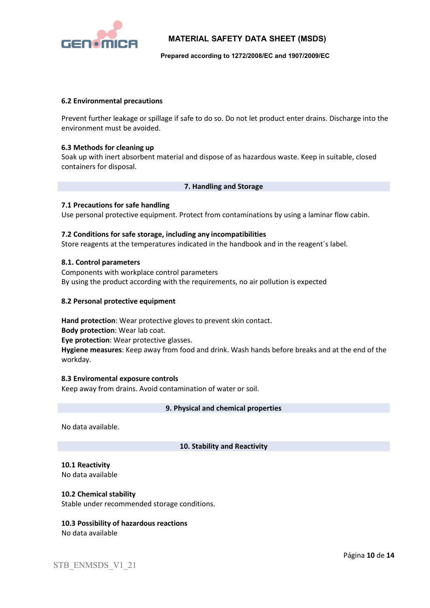

#### **Prepared according to 1272/2008/EC and 1907/2009/EC**

#### **6.2 Environmental precautions**

Prevent further leakage or spillage if safe to do so. Do not let product enter drains. Discharge into the environment must be avoided.

#### **6.3 Methods for cleaning up**

Soak up with inert absorbent material and dispose of as hazardous waste. Keep in suitable, closed containers for disposal.

#### **7. Handling and Storage**

#### **7.1 Precautions for safe handling**

Use personal protective equipment. Protect from contaminations by using a laminar flow cabin.

#### **7.2 Conditions for safe storage, including any incompatibilities**

Store reagents at the temperatures indicated in the handbook and in the reagent´s label.

#### **8.1. Control parameters**

Components with workplace control parameters By using the product according with the requirements, no air pollution is expected

#### **8.2 Personal protective equipment**

**Hand protection**: Wear protective gloves to prevent skin contact. **Body protection**: Wear lab coat. **Eye protection**: Wear protective glasses. **Hygiene measures**: Keep away from food and drink. Wash hands before breaks and at the end of the workday.

#### **8.3 Enviromental exposure controls**

Keep away from drains. Avoid contamination of water or soil.

#### **9. Physical and chemical properties**

No data available.

#### **10. Stability and Reactivity**

## **10.1 Reactivity**

No data available

#### **10.2 Chemical stability**

Stable under recommended storage conditions.

#### **10.3 Possibility of hazardous reactions** No data available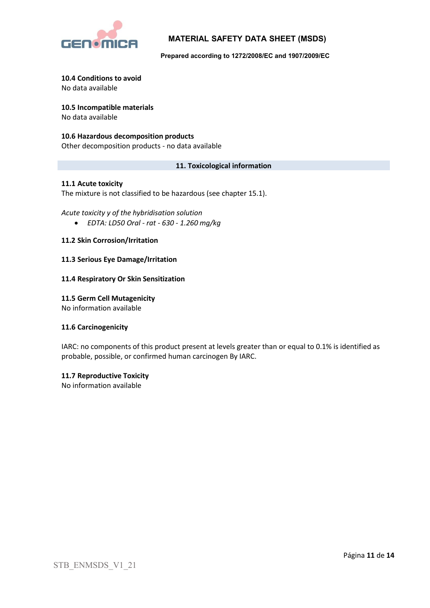

**Prepared according to 1272/2008/EC and 1907/2009/EC**

#### **10.4 Conditions to avoid**

No data available

# **10.5 Incompatible materials**

No data available

## **10.6 Hazardous decomposition products**

Other decomposition products - no data available

## **11. Toxicological information**

## **11.1 Acute toxicity**

The mixture is not classified to be hazardous (see chapter 15.1).

## *Acute toxicity y of the hybridisation solution*

• *EDTA: LD50 Oral - rat - 630 - 1.260 mg/kg*

## **11.2 Skin Corrosion/Irritation**

## **11.3 Serious Eye Damage/Irritation**

## **11.4 Respiratory Or Skin Sensitization**

## **11.5 Germ Cell Mutagenicity**

No information available

## **11.6 Carcinogenicity**

IARC: no components of this product present at levels greater than or equal to 0.1% is identified as probable, possible, or confirmed human carcinogen By IARC.

## **11.7 Reproductive Toxicity**

No information available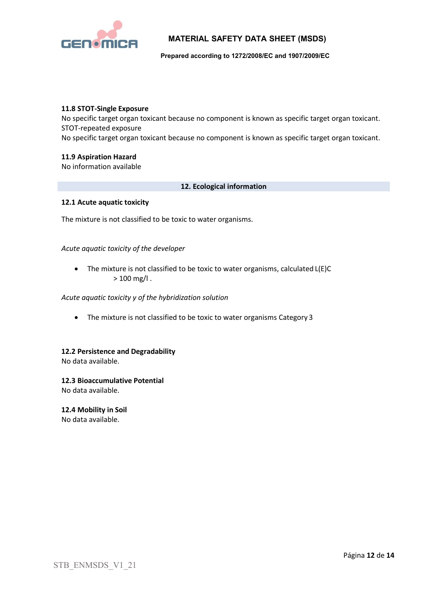

**Prepared according to 1272/2008/EC and 1907/2009/EC**

#### **11.8 STOT-Single Exposure**

No specific target organ toxicant because no component is known as specific target organ toxicant. STOT-repeated exposure

No specific target organ toxicant because no component is known as specific target organ toxicant.

#### **11.9 Aspiration Hazard**

No information available

### **12. Ecological information**

#### **12.1 Acute aquatic toxicity**

The mixture is not classified to be toxic to water organisms.

## *Acute aquatic toxicity of the developer*

• The mixture is not classified to be toxic to water organisms, calculated L(E)C  $> 100$  mg/l.

#### *Acute aquatic toxicity y of the hybridization solution*

• The mixture is not classified to be toxic to water organisms Category 3

## **12.2 Persistence and Degradability**

No data available.

## **12.3 Bioaccumulative Potential**

No data available.

#### **12.4 Mobility in Soil** No data available.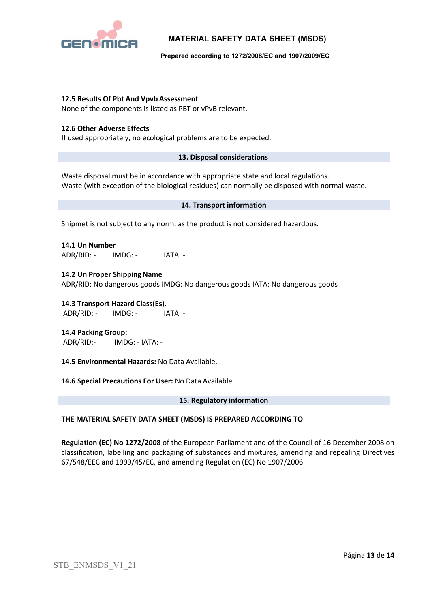

**Prepared according to 1272/2008/EC and 1907/2009/EC**

## **12.5 Results Of Pbt And Vpvb Assessment**

None of the components is listed as PBT or vPvB relevant.

#### **12.6 Other Adverse Effects**

If used appropriately, no ecological problems are to be expected.

#### **13. Disposal considerations**

Waste disposal must be in accordance with appropriate state and local regulations. Waste (with exception of the biological residues) can normally be disposed with normal waste.

#### **14. Transport information**

Shipmet is not subject to any norm, as the product is not considered hazardous.

**14.1 Un Number** ADR/RID: - IMDG: - IATA: -

**14.2 Un Proper Shipping Name** ADR/RID: No dangerous goods IMDG: No dangerous goods IATA: No dangerous goods

**14.3 Transport Hazard Class(Es).** ADR/RID: - IMDG: - IATA: -

**14.4 Packing Group:** ADR/RID:- IMDG: - IATA: -

**14.5 Environmental Hazards:** No Data Available.

**14.6 Special Precautions For User:** No Data Available.

#### **15. Regulatory information**

## **THE MATERIAL SAFETY DATA SHEET (MSDS) IS PREPARED ACCORDING TO**

**Regulation (EC) No 1272/2008** of the European Parliament and of the Council of 16 December 2008 on classification, labelling and packaging of substances and mixtures, amending and repealing Directives 67/548/EEC and 1999/45/EC, and amending Regulation (EC) No 1907/2006